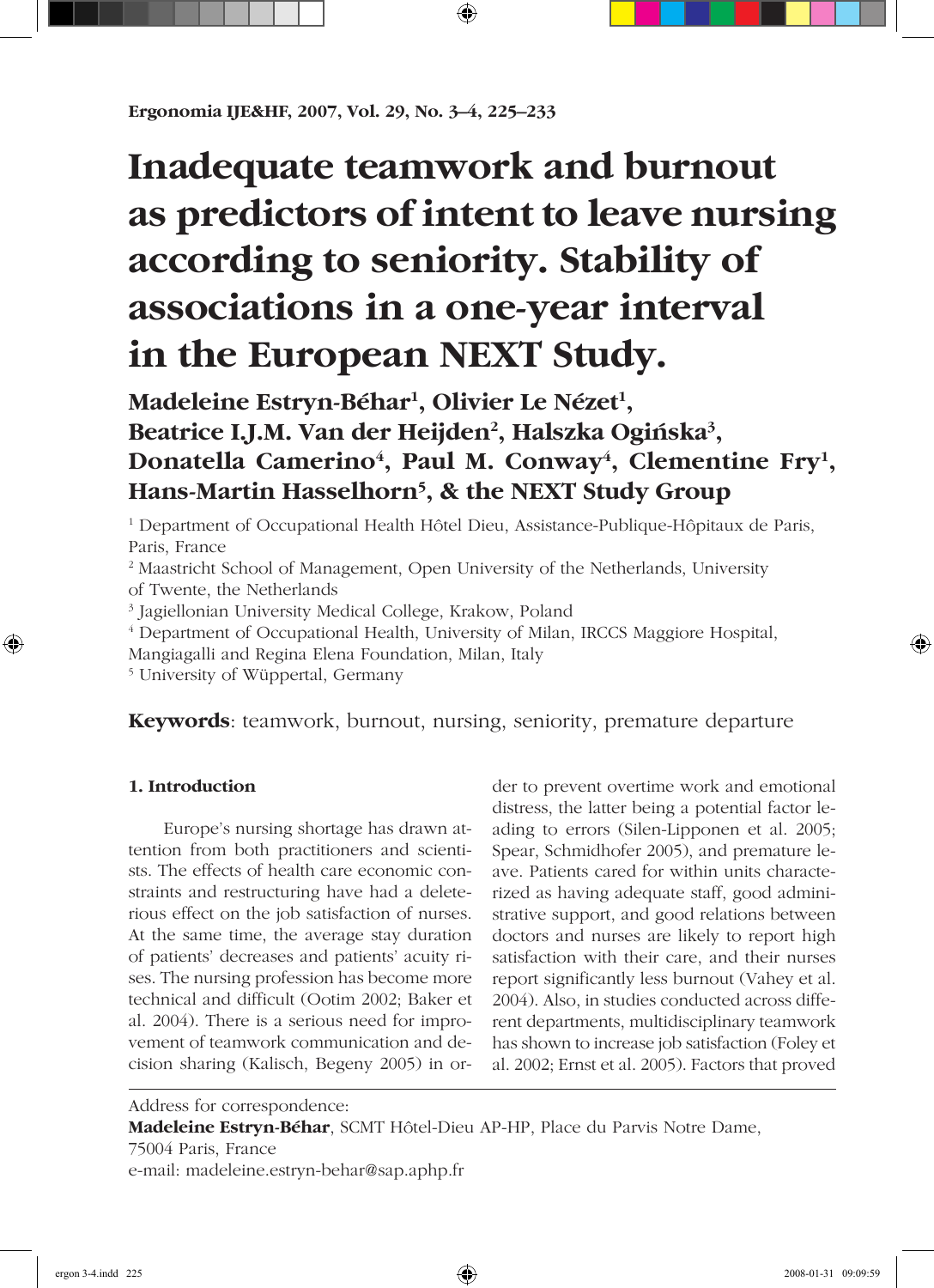# **Inadequate teamwork and burnout as predictors of intent to leave nursing according to seniority. Stability of associations in a one-year interval in the European NEXT Study.**

# **Madeleine Estryn-Béhar<sup>1</sup> , Olivier Le Nézet<sup>1</sup> , Beatrice I.J.M. Van der Heijden<sup>2</sup> , Halszka Ogiñska<sup>3</sup> ,** Donatella Camerino<sup>4</sup>, Paul M. Conway<sup>4</sup>, Clementine Fry<sup>1</sup>, **Hans-Martin Hasselhorn<sup>5</sup> , & the NEXT Study Group**

1 Department of Occupational Health Hôtel Dieu, Assistance-Publique-Hôpitaux de Paris, Paris, France

<sup>2</sup> Maastricht School of Management, Open University of the Netherlands, University of Twente, the Netherlands

3 Jagiellonian University Medical College, Krakow, Poland

4 Department of Occupational Health, University of Milan, IRCCS Maggiore Hospital,

Mangiagalli and Regina Elena Foundation, Milan, Italy

5 University of Wüppertal, Germany

# **Keywords**: teamwork, burnout, nursing, seniority, premature departure

# **1. Introduction**

Europe's nursing shortage has drawn attention from both practitioners and scientists. The effects of health care economic constraints and restructuring have had a deleterious effect on the job satisfaction of nurses. At the same time, the average stay duration of patients' decreases and patients' acuity rises. The nursing profession has become more technical and difficult (Ootim 2002; Baker et al. 2004). There is a serious need for improvement of teamwork communication and decision sharing (Kalisch, Begeny 2005) in order to prevent overtime work and emotional distress, the latter being a potential factor leading to errors (Silen-Lipponen et al. 2005; Spear, Schmidhofer 2005), and premature leave. Patients cared for within units characterized as having adequate staff, good administrative support, and good relations between doctors and nurses are likely to report high satisfaction with their care, and their nurses report significantly less burnout (Vahey et al. 2004). Also, in studies conducted across different departments, multidisciplinary teamwork has shown to increase job satisfaction (Foley et al. 2002; Ernst et al. 2005). Factors that proved

Address for correspondence:

**Madeleine Estryn-Béhar**, SCMT Hôtel-Dieu AP-HP, Place du Parvis Notre Dame,

75004 Paris, France

e-mail: madeleine.estryn-behar@sap.aphp.fr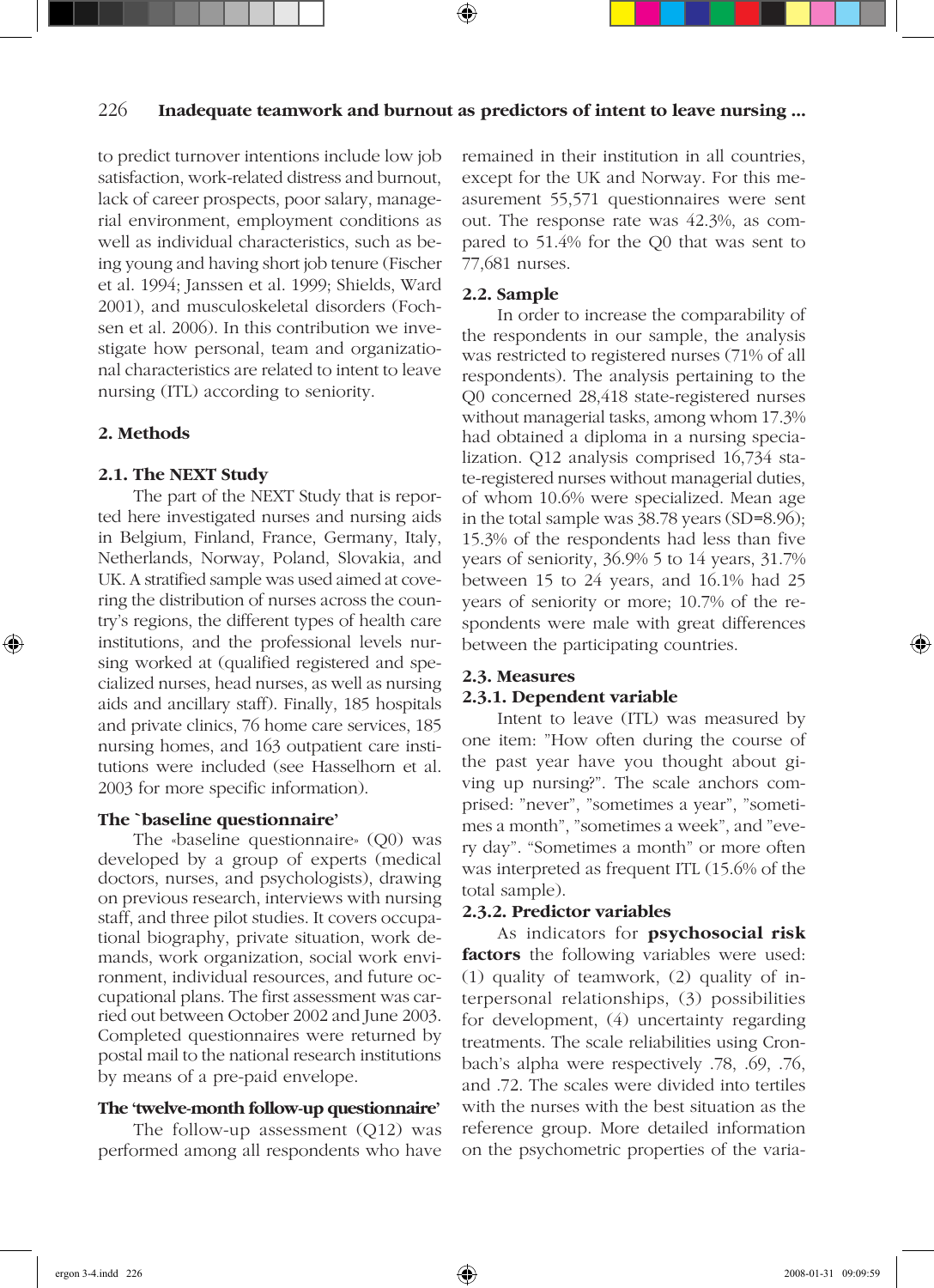### 226 **Inadequate teamwork and burnout as predictors of intent to leave nursing ...**

to predict turnover intentions include low job satisfaction, work-related distress and burnout, lack of career prospects, poor salary, managerial environment, employment conditions as well as individual characteristics, such as being young and having short job tenure (Fischer et al. 1994; Janssen et al. 1999; Shields, Ward 2001), and musculoskeletal disorders (Fochsen et al. 2006). In this contribution we investigate how personal, team and organizational characteristics are related to intent to leave nursing (ITL) according to seniority.

#### **2. Methods**

#### **2.1. The NEXT Study**

The part of the NEXT Study that is reported here investigated nurses and nursing aids in Belgium, Finland, France, Germany, Italy, Netherlands, Norway, Poland, Slovakia, and UK. A stratified sample was used aimed at covering the distribution of nurses across the country's regions, the different types of health care institutions, and the professional levels nursing worked at (qualified registered and specialized nurses, head nurses, as well as nursing aids and ancillary staff). Finally, 185 hospitals and private clinics, 76 home care services, 185 nursing homes, and 163 outpatient care institutions were included (see Hasselhorn et al. 2003 for more specific information).

#### **The `baseline questionnaire'**

The «baseline questionnaire» (Q0) was developed by a group of experts (medical doctors, nurses, and psychologists), drawing on previous research, interviews with nursing staff, and three pilot studies. It covers occupational biography, private situation, work demands, work organization, social work environment, individual resources, and future occupational plans. The first assessment was carried out between October 2002 and June 2003. Completed questionnaires were returned by postal mail to the national research institutions by means of a pre-paid envelope.

#### **The 'twelve-month follow-up questionnaire'**

The follow-up assessment (Q12) was performed among all respondents who have remained in their institution in all countries, except for the UK and Norway. For this measurement 55,571 questionnaires were sent out. The response rate was 42.3%, as compared to 51.4% for the Q0 that was sent to 77,681 nurses.

#### **2.2. Sample**

In order to increase the comparability of the respondents in our sample, the analysis was restricted to registered nurses (71% of all respondents). The analysis pertaining to the Q0 concerned 28,418 state-registered nurses without managerial tasks, among whom 17.3% had obtained a diploma in a nursing specialization. Q12 analysis comprised 16,734 state-registered nurses without managerial duties, of whom 10.6% were specialized. Mean age in the total sample was 38.78 years (SD=8.96); 15.3% of the respondents had less than five years of seniority, 36.9% 5 to 14 years, 31.7% between 15 to 24 years, and 16.1% had 25 years of seniority or more; 10.7% of the respondents were male with great differences between the participating countries.

#### **2.3. Measures**

#### **2.3.1. Dependent variable**

Intent to leave (ITL) was measured by one item: "How often during the course of the past year have you thought about giving up nursing?". The scale anchors comprised: "never", "sometimes a year", "sometimes a month", "sometimes a week", and "every day". "Sometimes a month" or more often was interpreted as frequent ITL (15.6% of the total sample).

#### **2.3.2. Predictor variables**

As indicators for **psychosocial risk factors** the following variables were used: (1) quality of teamwork, (2) quality of interpersonal relationships, (3) possibilities for development, (4) uncertainty regarding treatments. The scale reliabilities using Cronbach's alpha were respectively .78, .69, .76, and .72. The scales were divided into tertiles with the nurses with the best situation as the reference group. More detailed information on the psychometric properties of the varia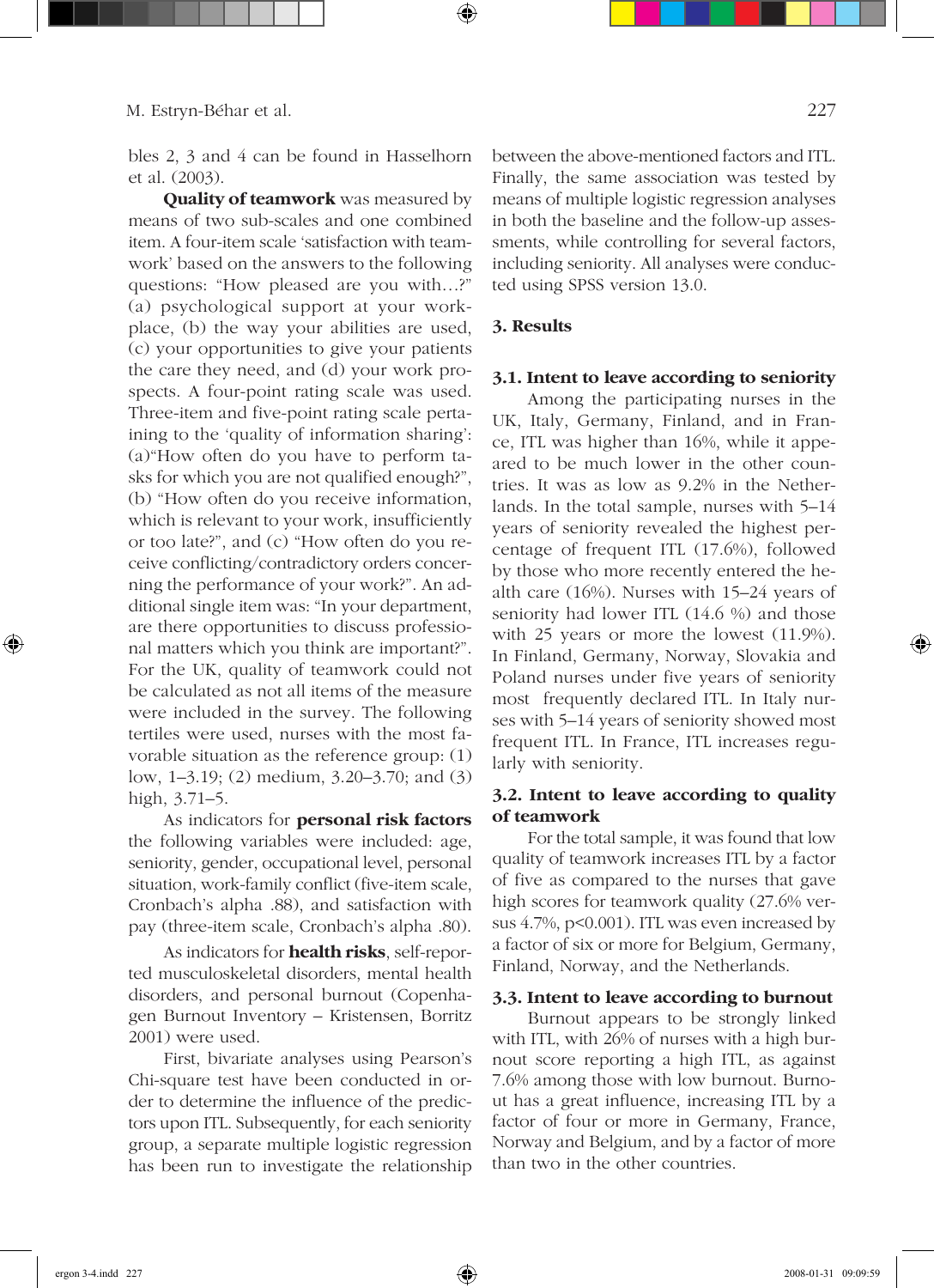bles 2, 3 and 4 can be found in Hasselhorn et al. (2003).

**Quality of teamwork** was measured by means of two sub-scales and one combined item. A four-item scale 'satisfaction with teamwork' based on the answers to the following questions: "How pleased are you with…?" (a) psychological support at your workplace, (b) the way your abilities are used, (c) your opportunities to give your patients the care they need, and (d) your work prospects. A four-point rating scale was used. Three-item and five-point rating scale pertaining to the 'quality of information sharing': (a)"How often do you have to perform tasks for which you are not qualified enough?", (b) "How often do you receive information, which is relevant to your work, insufficiently or too late?", and (c) "How often do you receive conflicting/contradictory orders concerning the performance of your work?". An additional single item was: "In your department, are there opportunities to discuss professional matters which you think are important?". For the UK, quality of teamwork could not be calculated as not all items of the measure were included in the survey. The following tertiles were used, nurses with the most favorable situation as the reference group: (1) low, 1–3.19; (2) medium, 3.20–3.70; and (3) high, 3.71–5.

As indicators for **personal risk factors** the following variables were included: age, seniority, gender, occupational level, personal situation, work-family conflict (five-item scale, Cronbach's alpha .88), and satisfaction with pay (three-item scale, Cronbach's alpha .80).

As indicators for **health risks**, self-reported musculoskeletal disorders, mental health disorders, and personal burnout (Copenhagen Burnout Inventory – Kristensen, Borritz 2001) were used.

First, bivariate analyses using Pearson's Chi-square test have been conducted in order to determine the influence of the predictors upon ITL. Subsequently, for each seniority group, a separate multiple logistic regression has been run to investigate the relationship between the above-mentioned factors and ITL. Finally, the same association was tested by means of multiple logistic regression analyses in both the baseline and the follow-up assessments, while controlling for several factors, including seniority. All analyses were conducted using SPSS version 13.0.

#### **3. Results**

#### **3.1. Intent to leave according to seniority**

Among the participating nurses in the UK, Italy, Germany, Finland, and in France, ITL was higher than 16%, while it appeared to be much lower in the other countries. It was as low as 9.2% in the Netherlands. In the total sample, nurses with 5–14 years of seniority revealed the highest percentage of frequent ITL (17.6%), followed by those who more recently entered the health care (16%). Nurses with 15–24 years of seniority had lower ITL (14.6 %) and those with 25 years or more the lowest (11.9%). In Finland, Germany, Norway, Slovakia and Poland nurses under five years of seniority most frequently declared ITL. In Italy nurses with 5–14 years of seniority showed most frequent ITL. In France, ITL increases regularly with seniority.

#### **3.2. Intent to leave according to quality of teamwork**

For the total sample, it was found that low quality of teamwork increases ITL by a factor of five as compared to the nurses that gave high scores for teamwork quality (27.6% versus 4.7%, p<0.001). ITL was even increased by a factor of six or more for Belgium, Germany, Finland, Norway, and the Netherlands.

#### **3.3. Intent to leave according to burnout**

Burnout appears to be strongly linked with ITL, with 26% of nurses with a high burnout score reporting a high ITL, as against 7.6% among those with low burnout. Burnout has a great influence, increasing ITL by a factor of four or more in Germany, France, Norway and Belgium, and by a factor of more than two in the other countries.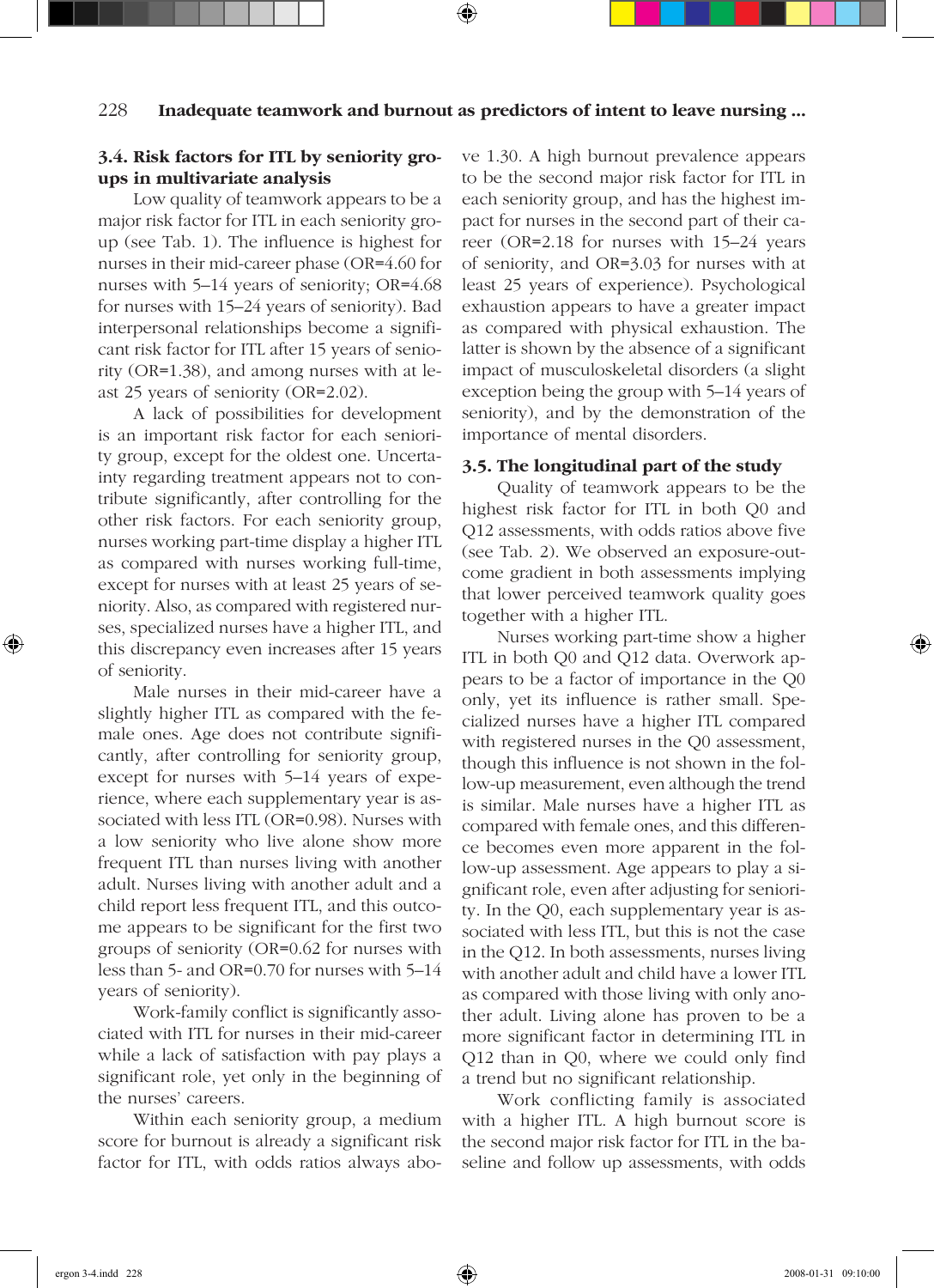## **3.4. Risk factors for ITL by seniority groups in multivariate analysis**

Low quality of teamwork appears to be a major risk factor for ITL in each seniority group (see Tab. 1). The influence is highest for nurses in their mid-career phase (OR=4.60 for nurses with 5–14 years of seniority; OR=4.68 for nurses with 15–24 years of seniority). Bad interpersonal relationships become a significant risk factor for ITL after 15 years of seniority (OR=1.38), and among nurses with at least 25 years of seniority (OR=2.02).

A lack of possibilities for development is an important risk factor for each seniority group, except for the oldest one. Uncertainty regarding treatment appears not to contribute significantly, after controlling for the other risk factors. For each seniority group, nurses working part-time display a higher ITL as compared with nurses working full-time, except for nurses with at least 25 years of seniority. Also, as compared with registered nurses, specialized nurses have a higher ITL, and this discrepancy even increases after 15 years of seniority.

Male nurses in their mid-career have a slightly higher ITL as compared with the female ones. Age does not contribute significantly, after controlling for seniority group, except for nurses with 5–14 years of experience, where each supplementary year is associated with less ITL (OR=0.98). Nurses with a low seniority who live alone show more frequent ITL than nurses living with another adult. Nurses living with another adult and a child report less frequent ITL, and this outcome appears to be significant for the first two groups of seniority (OR=0.62 for nurses with less than 5- and OR=0.70 for nurses with 5–14 years of seniority).

Work-family conflict is significantly associated with ITL for nurses in their mid-career while a lack of satisfaction with pay plays a significant role, yet only in the beginning of the nurses' careers.

Within each seniority group, a medium score for burnout is already a significant risk factor for ITL, with odds ratios always above 1.30. A high burnout prevalence appears to be the second major risk factor for ITL in each seniority group, and has the highest impact for nurses in the second part of their career (OR=2.18 for nurses with 15–24 years of seniority, and OR=3.03 for nurses with at least 25 years of experience). Psychological exhaustion appears to have a greater impact as compared with physical exhaustion. The latter is shown by the absence of a significant impact of musculoskeletal disorders (a slight exception being the group with 5–14 years of seniority), and by the demonstration of the importance of mental disorders.

#### **3.5. The longitudinal part of the study**

Quality of teamwork appears to be the highest risk factor for ITL in both Q0 and Q12 assessments, with odds ratios above five (see Tab. 2). We observed an exposure-outcome gradient in both assessments implying that lower perceived teamwork quality goes together with a higher ITL.

Nurses working part-time show a higher ITL in both Q0 and Q12 data. Overwork appears to be a factor of importance in the Q0 only, yet its influence is rather small. Specialized nurses have a higher ITL compared with registered nurses in the Q0 assessment, though this influence is not shown in the follow-up measurement, even although the trend is similar. Male nurses have a higher ITL as compared with female ones, and this difference becomes even more apparent in the follow-up assessment. Age appears to play a significant role, even after adjusting for seniority. In the Q0, each supplementary year is associated with less ITL, but this is not the case in the Q12. In both assessments, nurses living with another adult and child have a lower ITL as compared with those living with only another adult. Living alone has proven to be a more significant factor in determining ITL in Q12 than in Q0, where we could only find a trend but no significant relationship.

Work conflicting family is associated with a higher ITL. A high burnout score is the second major risk factor for ITL in the baseline and follow up assessments, with odds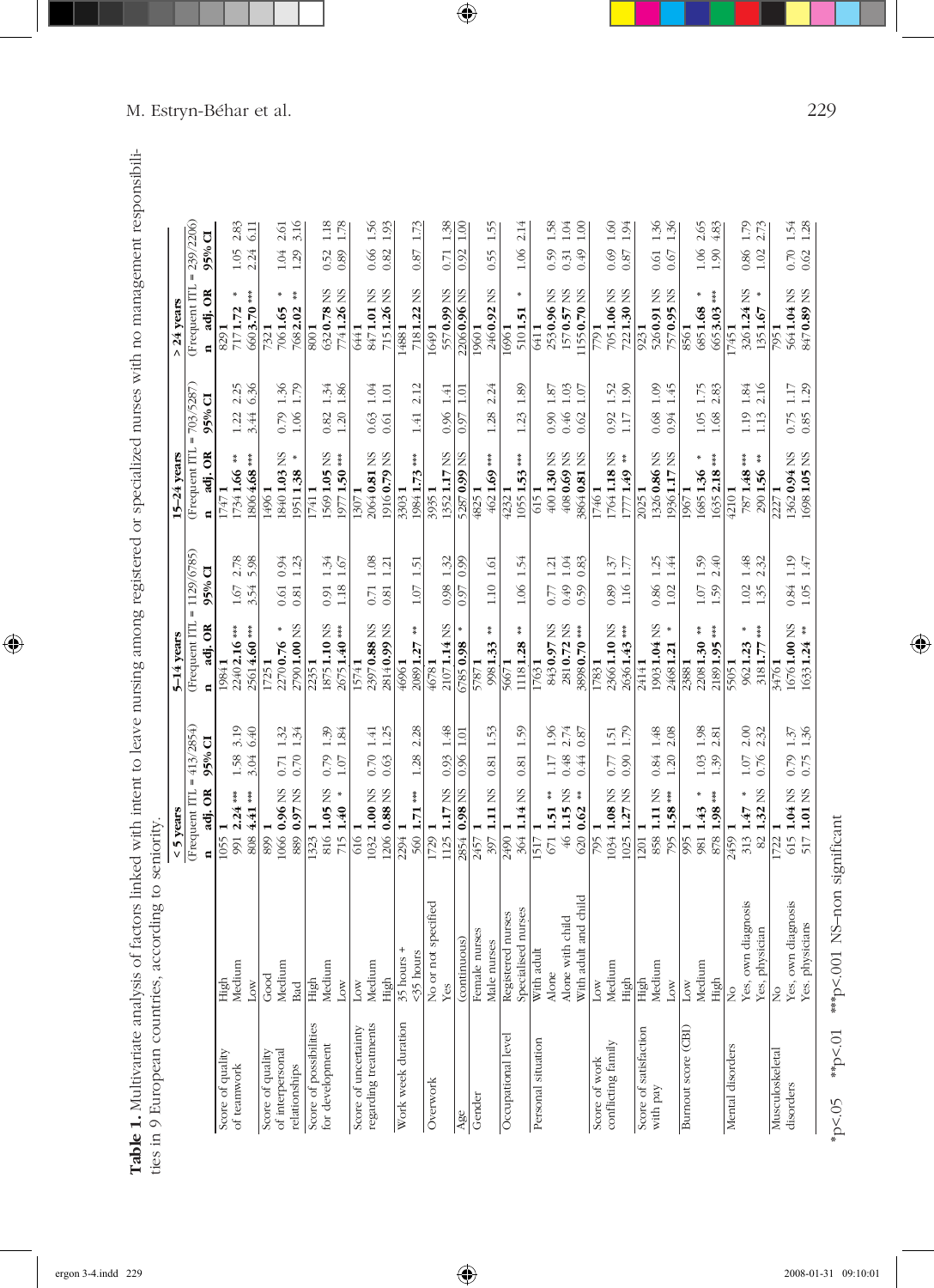|                        |                           | $5$ years                                       |                                             | 5-14 years                      |                                    | 15-24 years                                              |                                                                    | $>$ 24 years             |                                  |
|------------------------|---------------------------|-------------------------------------------------|---------------------------------------------|---------------------------------|------------------------------------|----------------------------------------------------------|--------------------------------------------------------------------|--------------------------|----------------------------------|
|                        |                           | $= 413/2854$<br>(Frequent ITL                   |                                             | (Frequent ITL                   | $= 1129/6785$                      | (Frequent ITL                                            | $= 703/5287$                                                       | (Frequent ITL            | 239/2206<br>$\mathbf{I}$         |
|                        |                           | 95% CI<br>adj. OR<br>$\blacksquare$             |                                             | adj. OR<br>$\blacksquare$       | $95%$ CI                           | adj. OR<br>$\blacksquare$                                | 95% CI                                                             | adj. OR<br>⋴             | 95% CI                           |
| Score of quality       | High                      | 1055                                            |                                             | 19841                           |                                    | 17471                                                    |                                                                    | 8291                     |                                  |
| of teanwork            | Medium<br>Low             | $1.58$<br>3.04<br>808 4.41 ***<br>991 2.24 ***  | 3.19<br>6.40                                | 2240 2.16 ***<br>25614.60***    | 2.78<br>$1.67$<br>3.54             | 18064.68 ***<br>쭕<br>17341.66                            | $2.25$<br>6.36<br>$1.22$<br>3.44                                   | 6603.70 ***<br>7171.72   | 2.83<br>6.11<br>$1.05$<br>2.24   |
| Score of quality       | Good                      | 899 1                                           |                                             | 17251                           |                                    | 14961                                                    |                                                                    | 7321                     |                                  |
| of interpersonal       | Medium                    | 0.71<br>1066 0.96 NS                            | 1.32                                        | ×<br>22700.76                   | 0.94<br>0.61                       | 18401.03 NS                                              | $1.36\,$<br>0.79                                                   | $\#$<br>7061.65          | 2.61<br>1.04                     |
| relationships          | <b>Bad</b>                | 0.70<br>889 0.97 NS                             | 1.34                                        | 27901.00 NS                     | 1.23<br>0.81                       | $\boldsymbol{\#}$<br>19511.38                            | 1.79<br>$1.06$                                                     | $\frac{M}{M}$<br>7682.02 | 3.16<br>1.29                     |
| Score of possibilities | High                      | 1323 1                                          |                                             | 22351                           |                                    | 17411                                                    |                                                                    | 8001                     |                                  |
| for development        | Medium                    | $0.79$<br>1.07<br>816 1.05 NS                   | $\frac{35}{1.34}$                           | 18751.10 NS                     | $1.34$ $1.67$<br>0.91              | 15691.05 NS                                              | $\begin{array}{c} 1.34 \\ 1.86 \end{array}$<br>$\frac{0.82}{1.20}$ | 6320.78 NS               | 1.18<br>0.52                     |
|                        | Low                       | 715 1.40 *                                      |                                             | 26751.40***                     | 1.18                               | 19771.50***                                              |                                                                    | 7741.26 NS               | 1.78<br>0.89                     |
| Score of uncertainty   | Low                       | 616 1                                           |                                             | 15741                           |                                    | 13071                                                    |                                                                    | 6441                     |                                  |
| regarding treatments   | Medium<br>High            | 0.70<br>0.63<br>1032 1.00 NS<br>1206 0.88 NS    | 1.25<br>1.41                                | 23970.88 NS<br>28140.99 NS      | 1.08<br>1.21<br>$0.71$<br>0.81     | 20640.81 NS<br>19160.79 NS                               | $1.04$<br>$1.01\,$<br>0.63<br>0.61                                 | 8471.01 NS<br>7151.26 NS | 1.56<br>1.93<br>0.66<br>0.82     |
| Work week duration     | $\ddot{}$<br>35 hours     | 2294                                            |                                             | 46961                           |                                    | 33031                                                    |                                                                    | 14881                    |                                  |
|                        | <35 hours                 | 1.28<br>***<br>560 1.71                         | 2.28                                        | 쑟<br>20891.27                   | 1.51<br>$1.07$                     | ***<br>19841.73                                          | 2.12<br>$1.41\,$                                                   | 7181.22 NS               | 1.73<br>0.87                     |
| Overwork               | specified<br>No or not    | $1729$ 1                                        |                                             | 46781                           |                                    | 39351                                                    |                                                                    | 16491                    |                                  |
|                        | Yes                       | 0.93<br>1125 1.17 NS                            | $1.48$                                      | 21071.14 NS                     | 1.32<br>0.98                       | 13521.17 NS                                              | 1.41<br>0.96                                                       | 5570.99 NS               | 1.38<br>0.71                     |
| Age                    | (continuous)              | 0.96<br>0.98 NS<br>2854                         | 1.01                                        | 6785 0.98                       | 0.99<br>0.97                       | 52870.99 NS                                              | 1.01<br>0.97                                                       | 22060.96 NS              | $\frac{8}{1.00}$<br>0.92         |
| Gender                 | Female nurses             | 2457                                            |                                             | 57871                           |                                    | 48251                                                    |                                                                    | 19601                    |                                  |
|                        | Male nurses               | 0.81<br>397 1.11 NS                             | 1.53                                        | 黄<br>9981.33                    | $1.61\,$<br>$1.10\,$               | 4621.69***                                               | 2.24<br>1.28                                                       | 2460.92 NS               | 1.55<br>0.55                     |
| Occupational level     | Registered nurses         | $2490$ 1                                        |                                             | $\frac{M}{M}$<br>56671          |                                    | 42321                                                    |                                                                    | 16961                    |                                  |
|                        | Specialised nurses        | $\!0.81$<br>364 1.14 NS                         | 1.59                                        | 11181.28                        | 1.54<br>$1.06\,$                   | $*$<br>10551.53                                          | 1.89<br>$1.23\,$                                                   | $\pmb{\ast}$<br>5101.51  | 2.14<br>$1.06\,$                 |
| Personal situation     | With adult                | 1517                                            |                                             | 17631                           |                                    | 6151                                                     |                                                                    | 6411                     |                                  |
|                        | Alone with child<br>Alone | $1.17$<br>0.48<br>$671$ 1.51 **                 | 1.96                                        | 2810.72 NS<br>8430.97 NS        | $1.04$<br>1.21<br>0.49<br>0.77     | 4001.30 NS<br>4080.69 NS                                 | $1.03\,$<br>1.87<br>0.90<br>0.46                                   | 2530.96 NS<br>1570.57 NS | 1.58<br>1.04<br>0.31<br>0.59     |
|                        |                           | 46 1.15 NS                                      | 2.74<br>0.87                                |                                 | 0.59                               |                                                          | $1.07\,$                                                           |                          |                                  |
|                        | With adult and child      | 0.44<br>$6200.62$ **                            |                                             | 38980.70 ***                    | 0.83                               | 38640.81 NS                                              | 0.62                                                               | 11550.70 NS              | $1.00\,$<br>649                  |
| Score of work          | $_{\text{Low}}$           | 795 1                                           |                                             | 17831                           |                                    | 17461                                                    |                                                                    | 7791                     |                                  |
| conflicting family     | Medium<br>High            | $C$ .77<br>0.90<br>1034 1.08 NS<br>1025 1.27 NS | $\begin{array}{c} 1.51 \\ 1.79 \end{array}$ | 23661.10 NS<br>$26361.43***$    | $\frac{137}{1.77}$<br>0.89<br>1.16 | 17641.18 NS<br>$\frac{\partial}{\partial t}$<br>17771.49 | $1.52$<br>$1.90$<br>0.92<br>$1.17\,$                               | 7051.06 NS<br>7221.30 NS | 1.60<br>1.94<br>0.69<br>$0.87\,$ |
| Score of satisfaction  | High                      | 1201 1                                          |                                             | 24141                           |                                    | 20251                                                    |                                                                    | 9231                     |                                  |
| with pay               | Medium                    | 0.84<br>858 1.11 NS                             | 1.48                                        | 1903 1.04 NS                    | 1.25<br>0.86                       | 13260.86 NS                                              | 1.09<br>0.68                                                       | 5260.91 NS               | 1.36<br>0.61                     |
|                        | $_{\rm Low}$              | $1.20$<br>795 1.58***                           | 2.08                                        | $\boldsymbol{\ast}$<br>24681.21 | 1.44<br>$1.02\,$                   | 19361.17 NS                                              | 1.45<br>0.94                                                       | 7570.95 NS               | 1.36<br>0.67                     |
| Burnout score (CBI)    | Low                       | 9951                                            |                                             | 23881                           |                                    | 19671                                                    |                                                                    | 8561                     |                                  |
|                        | Medium                    | 1.03<br>×<br>981 1.43                           | 1.98                                        | $22081.30$ **                   | 1.59<br>$1.07\,$                   | ×<br>16851.36                                            | 1.75<br>1.05                                                       | ×<br>6851.68             | 2.65<br>1.06                     |
|                        | High                      | 1.39<br>878 1.98 ***                            | 2.81                                        | ***<br>21891.95                 | 2.40<br>1.59                       | 清水水<br>16352.18                                          | 2.83<br>1.68                                                       | ***<br>6653.03           | 4.83<br>$1.90\,$                 |
| Mental disorders       | $\frac{1}{2}$             | 2459 1                                          |                                             | 55051                           |                                    | 42101                                                    |                                                                    | 17451                    |                                  |
|                        | diagnosis<br>Yes, own     | $1.07\,$<br>₩<br>313 1.47                       | $2.30$<br>$2.32$                            | ₩<br>9621.23                    | $1.48$<br>2.32<br>$1.02\,$         | 黄茶茶<br>7871.48                                           | $1.84 \\ 2.16$<br>$1.19\,$                                         | 3261.24 NS               | 1.79<br>0.86                     |
|                        | Yes, physician            | 0.76<br>1.32 NS<br>82                           |                                             | ***<br>3181.77                  | 1.35                               | $\frac{\pi}{8}$<br>2901.56                               | $1.13$                                                             | ×<br>1351.67             | 2.73<br>$1.02\,$                 |
| Musculoskeletal        | Ş                         | 1722                                            |                                             | 34761                           |                                    | 2271                                                     |                                                                    | 7951                     |                                  |
| disorders              | diagnosis<br>Yes, own     | 615 1.04 NS                                     | $0.79$ 1.37                                 | 16761.00 NS                     | $1.19$<br>$1.47$<br>0.84           | 13620.94 NS                                              | $1.17\,$<br>6.75                                                   | 5641.04 NS<br>8470.89 NS | $0.70$ 1.54                      |
|                        | Yes. physicians           | 0.75<br>1.01 NS<br>517                          | 1.36                                        | 쯅<br>16331.24                   | 1.05                               | 16981.05 NS                                              | 1.29<br>0.85                                                       |                          | 1.28<br>0.62                     |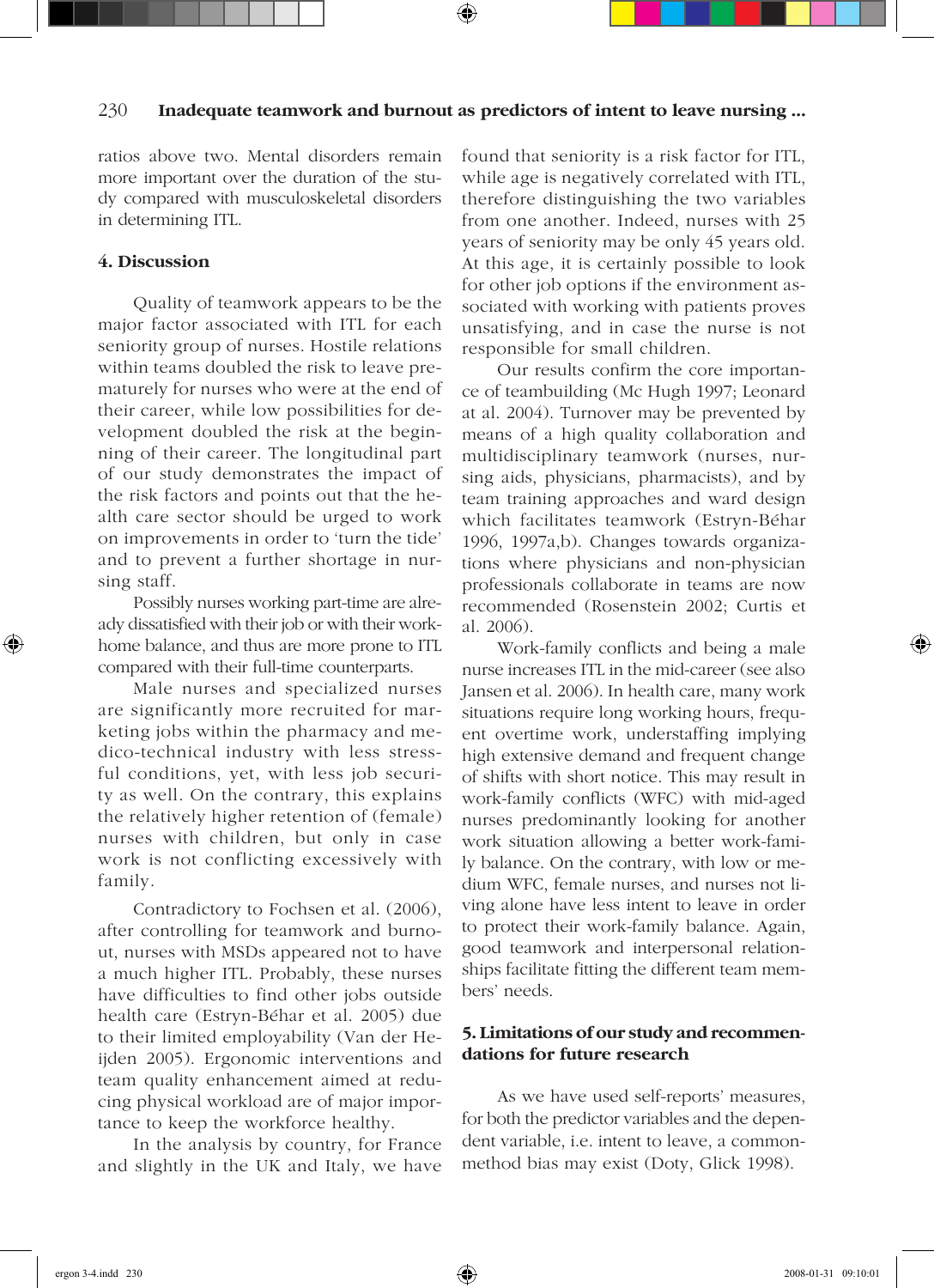#### 230 **Inadequate teamwork and burnout as predictors of intent to leave nursing ...**

ratios above two. Mental disorders remain more important over the duration of the study compared with musculoskeletal disorders in determining ITL.

#### **4. Discussion**

Quality of teamwork appears to be the major factor associated with ITL for each seniority group of nurses. Hostile relations within teams doubled the risk to leave prematurely for nurses who were at the end of their career, while low possibilities for development doubled the risk at the beginning of their career. The longitudinal part of our study demonstrates the impact of the risk factors and points out that the health care sector should be urged to work on improvements in order to 'turn the tide' and to prevent a further shortage in nursing staff.

Possibly nurses working part-time are already dissatisfied with their job or with their workhome balance, and thus are more prone to ITL compared with their full-time counterparts.

Male nurses and specialized nurses are significantly more recruited for marketing jobs within the pharmacy and medico-technical industry with less stressful conditions, yet, with less job security as well. On the contrary, this explains the relatively higher retention of (female) nurses with children, but only in case work is not conflicting excessively with family.

Contradictory to Fochsen et al. (2006), after controlling for teamwork and burnout, nurses with MSDs appeared not to have a much higher ITL. Probably, these nurses have difficulties to find other jobs outside health care (Estryn-Béhar et al. 2005) due to their limited employability (Van der Heijden 2005). Ergonomic interventions and team quality enhancement aimed at reducing physical workload are of major importance to keep the workforce healthy.

In the analysis by country, for France and slightly in the UK and Italy, we have found that seniority is a risk factor for ITL, while age is negatively correlated with ITL, therefore distinguishing the two variables from one another. Indeed, nurses with 25 years of seniority may be only 45 years old. At this age, it is certainly possible to look for other job options if the environment associated with working with patients proves unsatisfying, and in case the nurse is not responsible for small children.

Our results confirm the core importance of teambuilding (Mc Hugh 1997; Leonard at al. 2004). Turnover may be prevented by means of a high quality collaboration and multidisciplinary teamwork (nurses, nursing aids, physicians, pharmacists), and by team training approaches and ward design which facilitates teamwork (Estryn-Béhar 1996, 1997a,b). Changes towards organizations where physicians and non-physician professionals collaborate in teams are now recommended (Rosenstein 2002; Curtis et al. 2006).

Work-family conflicts and being a male nurse increases ITL in the mid-career (see also Jansen et al. 2006). In health care, many work situations require long working hours, frequent overtime work, understaffing implying high extensive demand and frequent change of shifts with short notice. This may result in work-family conflicts (WFC) with mid-aged nurses predominantly looking for another work situation allowing a better work-family balance. On the contrary, with low or medium WFC, female nurses, and nurses not living alone have less intent to leave in order to protect their work-family balance. Again, good teamwork and interpersonal relationships facilitate fitting the different team members' needs.

#### **5. Limitations of our study and recommendations for future research**

As we have used self-reports' measures, for both the predictor variables and the dependent variable, i.e. intent to leave, a commonmethod bias may exist (Doty, Glick 1998).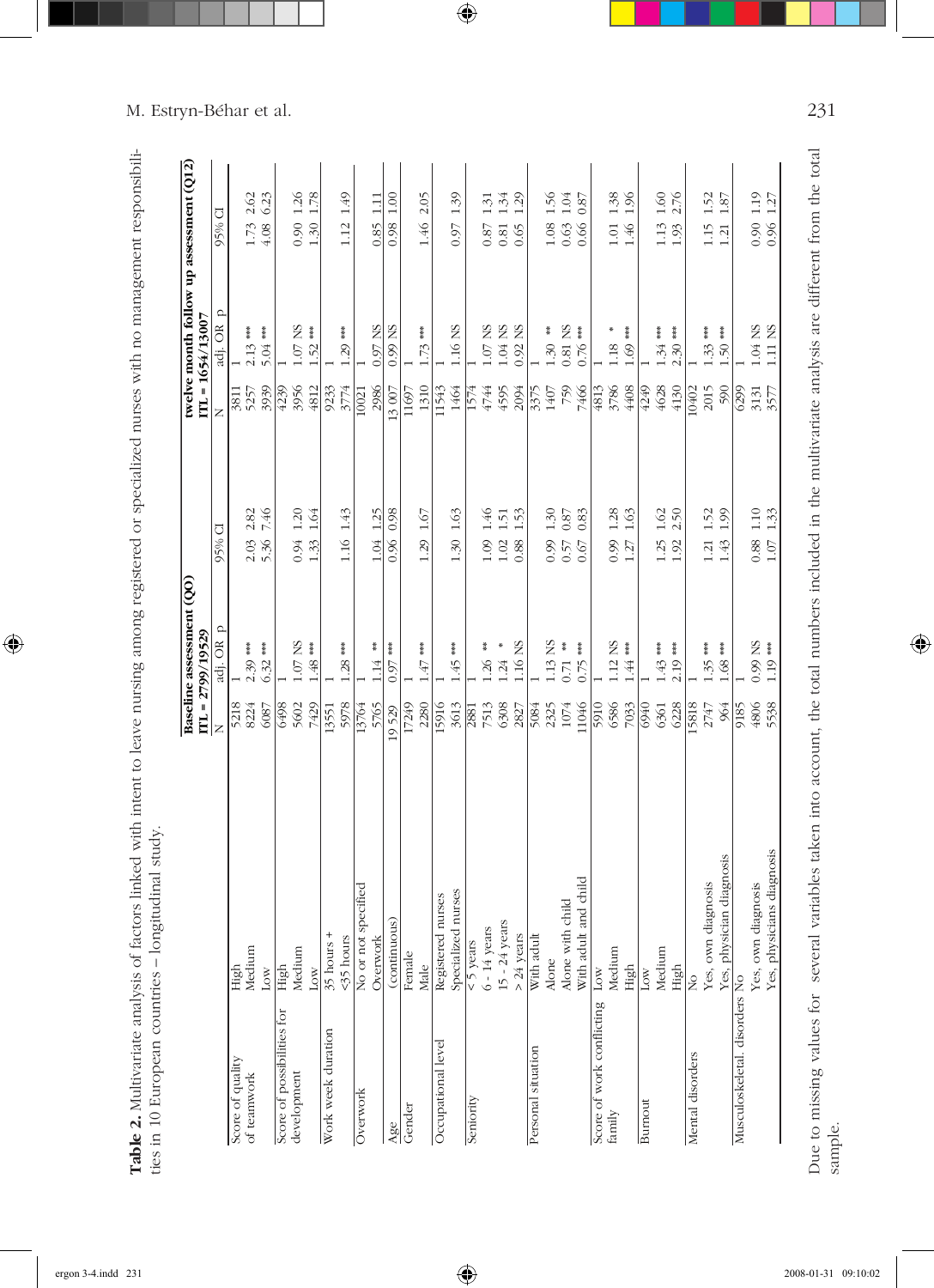| i<br>i<br>į<br>ļ<br>I<br>ļ<br>İ<br>١<br>֚֚֡֝<br>֚֚֚֚֚֚֚֚֝֝֬֝֬֝֬֝֓<br>֧֪֪֚֚֚֚֚֚֚֝֝֝֝֝֝֝֬֝֬֝֬֝֬֝֬֝֬֝֬֝֬֝֬֝֬֝֬<br>mani<br>l<br>)<br>j<br>l<br>こくり クライアー しょくくくちゅうりょ<br>I<br>l<br>j<br>į<br>₹ |                                                                                                |
|------------------------------------------------------------------------------------------------------------------------------------------------------------------------------------------|------------------------------------------------------------------------------------------------|
| $\overline{\phantom{a}}$<br>j<br>$\ddot{\ddot{\ }}$<br>į<br>I<br>i<br>ļ<br>¢<br>Ò<br>:<br>j<br>しょうこう こうしょう<br>í<br>J<br>ı<br>)                                                           |                                                                                                |
| ļ<br>$\overline{\phantom{a}}$<br>$\ddot{\phantom{a}}$<br>$\frac{1}{2}$<br>ĺ<br>)<br>į<br>:<br>2.77<br>¢<br>j<br>¢                                                                        |                                                                                                |
| Ï<br>j<br>$\overline{\phantom{a}}$<br>ĺ<br>ì<br>.<br>.<br>.<br>l<br>へもへいい<br>5<br>i<br>Ş<br>j<br>ׇ֘֝֕֡                                                                                   | Ë<br>$\frac{1}{2}$<br>ï<br>١<br>ĵ<br>ļ<br>J<br>;<br>;<br>i<br>١<br>:<br>וּ<br>I<br>ı<br>Į<br>l |
|                                                                                                                                                                                          | İ<br>۱<br>$\ddot{ }$<br>$\ddot{\phantom{0}}$<br>i<br>!<br>i<br>I<br>i<br>l<br>ı<br>:           |

|                               |                           |       | Baseline assessment (QO)<br>$ITL = 2799/19529$ |                  |       | $ITL = 1654/13007$    | twelve month follow up assessment (Q12) |
|-------------------------------|---------------------------|-------|------------------------------------------------|------------------|-------|-----------------------|-----------------------------------------|
|                               |                           | Z     | $\Omega$<br>adj. OR                            | 95% CI           | Z     | adj. OR p             | 95% CI                                  |
| Score of quality              |                           | 5218  |                                                |                  | 3811  |                       |                                         |
| of teamwork                   | High<br>Medium            | 8224  | $2.39***$                                      | 2.82<br>2.03     | 5257  | $2.13***$             | 2.62<br>1.73                            |
|                               | $_{\text{Low}}$           | 6087  | $6.32***$                                      | 7.46             | 3939  | 5.04 ***              | 6.23<br>4.08                            |
| Score of possibilities for    | High                      | 6498  |                                                |                  | 4239  |                       |                                         |
| development                   | Medium                    | 5602  | $1.07$ NS                                      | 0.94 1.20        | 3956  | $1.07$ NS             | 0.90 1.26                               |
|                               | $_{\text{Low}}$           | 7429  | $1.48***$                                      | 1.33 1.64        | 4812  | ***<br>1.52           | 1.30 1.78                               |
| Work week duration            | $35$ hours $+$            | 13551 |                                                |                  | 9233  |                       |                                         |
|                               | <35 hours                 | 5978  | ***<br>1.28                                    | 1.16 1.43        | 3774  | ***<br>1.29           | 1.49<br>1.12                            |
| Overwork                      | No or not specified       | 13764 |                                                |                  | 10021 |                       |                                         |
|                               | Overwork                  | 5765  | $\frac{*}{*}$<br>1.14                          | 1.04 1.25        | 2986  | 0.97 NS               | 1.11<br>0.85                            |
| Age                           | (continuous)              | 19529 | ***<br>0.97                                    | 0.98<br>0.96     | 13007 | 0.99 NS               | 1.00<br>0.98                            |
| Gender                        | Female                    | 17249 |                                                |                  | 11697 |                       |                                         |
|                               | Male                      | 2280  | ***<br>1.47                                    | 1.29 1.67        | 1310  | ***<br>1.73           | 2.05<br>1.46                            |
| Occupational level            | Registered nurses         | 15916 |                                                |                  | 11543 |                       |                                         |
|                               | Specialized nurses        | 3613  | $1.45***$                                      | 1.30 1.63        | 1464  | 1.16 NS               | 1.39<br>0.97                            |
| Seniority                     | $<$ 5 years               | 2881  |                                                |                  | 1574  |                       |                                         |
|                               | $6 - 14$ years            | 7513  | $\frac{*}{*}$<br>1.26                          | 1.46<br>1.09     | 4744  | $1.07$ NS             | 1.31<br>0.87                            |
|                               | $15 - 24$ years           | 6308  | *<br>1.24                                      | 1.51<br>$1.02$   | 4595  | $1.04$ NS             | 1.34<br>$0.81\,$                        |
|                               | $> 24$ years              | 2827  | 1.16 NS                                        | 1.53<br>0.88     | 2094  | $0.92$ NS             | 1.29<br>0.65                            |
| Personal situation            | With adult                | 5084  |                                                |                  | 3375  |                       |                                         |
|                               | Alone                     | 2325  | 1.13 NS                                        | 1.30<br>0.99     | 1407  | $1.30$ **             | 1.08 1.56                               |
|                               | Alone with child          | 1074  | $*$<br>0.71                                    | 0.87<br>0.57     | 759   | 0.81 NS               | 1.04<br>0.63                            |
|                               | With adult and child      | 11046 | $**\$<br>0.75                                  | 0.83<br>0.67     | 7466  | $\frac{1}{2}$<br>0.76 | 0.87<br>0.66                            |
| Score of work conflicting     | $_{\text{Low}}$           | 5910  |                                                |                  | 4813  |                       |                                         |
| family                        | Medium                    | 6586  | 1.12 NS                                        | 1.28<br>0.99     | 3786  | 1.18                  | 1.38<br>$1.01\,$                        |
|                               | High                      | 7033  | $1.44***$                                      | 1.63<br>$1.27$   | 4408  | 茶茶<br>1.69            | 1.96<br>$1.46$                          |
| Bumout                        | Low                       | 6940  |                                                |                  | 4249  |                       |                                         |
|                               | Medium                    | 6361  | $1.43***$                                      | 1.62<br>1.25     | 4628  | ***<br>1.34           | $1.60\,$<br>1.13                        |
|                               | High                      | 6228  | $2.19***$                                      | 2.50<br>1.92     | 4130  | ***<br>2.30           | 2.76<br>1.93                            |
| Mental disorders              | <sub>2</sub>              | 15818 |                                                |                  | 10402 |                       |                                         |
|                               | Yes, own diagnosis        | 2747  | $1.35***$                                      | 1.52<br>1.21     | 2015  | $1.33***$             | 1.52<br>1.15                            |
|                               | Yes, physician diagnosis  | 964   | $1.68***$                                      | 1.99<br>1.43     | 590   | $1.50***$             | 1.87<br>1.21                            |
| Musculoskeletal. disorders No |                           | 9185  |                                                |                  | 6299  |                       |                                         |
|                               | Yes, own diagnosis        | 4806  | $0.99$ NS<br>1.19 ***                          | 1.10<br>0.88     | 3131  | $1.04$ NS             | 0.90 1.19                               |
|                               | Yes, physicians diagnosis | 5538  |                                                | 1.33<br>$1.07\,$ | 3577  | $1.11$ NS $\,$        | 1.27<br>0.96                            |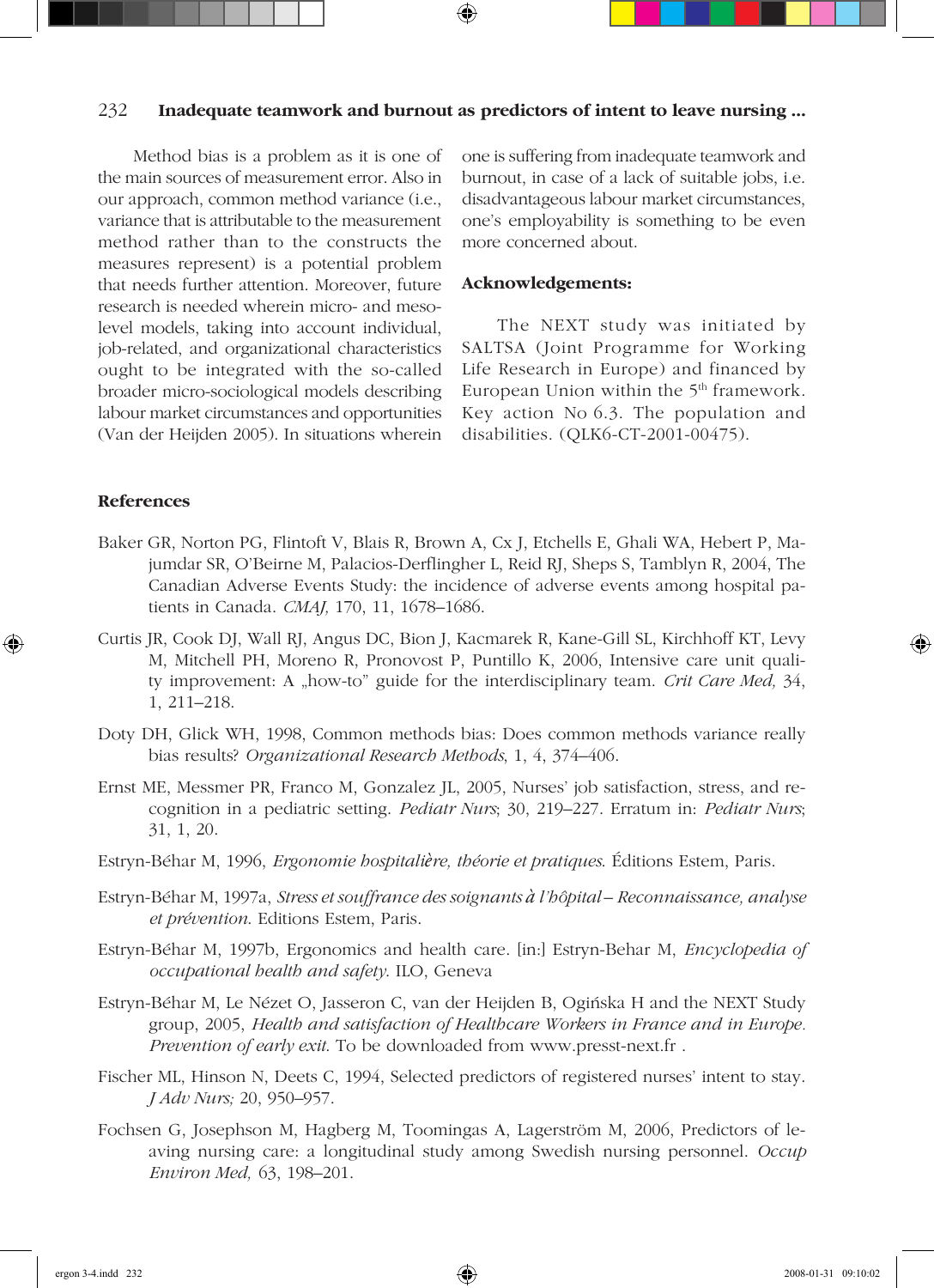#### 232 **Inadequate teamwork and burnout as predictors of intent to leave nursing ...**

Method bias is a problem as it is one of the main sources of measurement error. Also in our approach, common method variance (i.e., variance that is attributable to the measurement method rather than to the constructs the measures represent) is a potential problem that needs further attention. Moreover, future research is needed wherein micro- and mesolevel models, taking into account individual, job-related, and organizational characteristics ought to be integrated with the so-called broader micro-sociological models describing labour market circumstances and opportunities (Van der Heijden 2005). In situations wherein

one is suffering from inadequate teamwork and burnout, in case of a lack of suitable jobs, i.e. disadvantageous labour market circumstances, one's employability is something to be even more concerned about.

#### **Acknowledgements:**

The NEXT study was initiated by SALTSA (Joint Programme for Working Life Research in Europe) and financed by European Union within the 5<sup>th</sup> framework. Key action No 6.3. The population and disabilities. (QLK6-CT-2001-00475).

#### **References**

- Baker GR, Norton PG, Flintoft V, Blais R, Brown A, Cx J, Etchells E, Ghali WA, Hebert P, Majumdar SR, O'Beirne M, Palacios-Derflingher L, Reid RJ, Sheps S, Tamblyn R, 2004, The Canadian Adverse Events Study: the incidence of adverse events among hospital patients in Canada. *CMAJ,* 170, 11, 1678–1686.
- Curtis JR, Cook DJ, Wall RJ, Angus DC, Bion J, Kacmarek R, Kane-Gill SL, Kirchhoff KT, Levy M, Mitchell PH, Moreno R, Pronovost P, Puntillo K, 2006, Intensive care unit quality improvement: A "how-to" guide for the interdisciplinary team. *Crit Care Med,* 34, 1, 211–218.
- Doty DH, Glick WH, 1998, Common methods bias: Does common methods variance really bias results? *Organizational Research Methods*, 1, 4, 374–406.
- Ernst ME, Messmer PR, Franco M, Gonzalez JL, 2005, Nurses' job satisfaction, stress, and recognition in a pediatric setting. *Pediatr Nurs*; 30, 219–227. Erratum in: *Pediatr Nurs*; 31, 1, 20.
- Estryn-Béhar M, 1996, *Ergonomie hospitalière, théorie et pratiques*. Éditions Estem, Paris.
- Estryn-Béhar M, 1997a, *Stress et souffrance des soignants à l'hôpital Reconnaissance, analyse et prévention*. Editions Estem, Paris.
- Estryn-Béhar M, 1997b, Ergonomics and health care. [in:] Estryn-Behar M, *Encyclopedia of occupational health and safety*. ILO, Geneva
- Estryn-Béhar M, Le Nézet O, Jasseron C, van der Heijden B, Ogiñska H and the NEXT Study group, 2005, *Health and satisfaction of Healthcare Workers in France and in Europe. Prevention of early exit*. To be downloaded from www.presst-next.fr .
- Fischer ML, Hinson N, Deets C, 1994, Selected predictors of registered nurses' intent to stay. *J Adv Nurs;* 20, 950–957.
- Fochsen G, Josephson M, Hagberg M, Toomingas A, Lagerström M, 2006, Predictors of leaving nursing care: a longitudinal study among Swedish nursing personnel. *Occup Environ Med,* 63, 198–201.